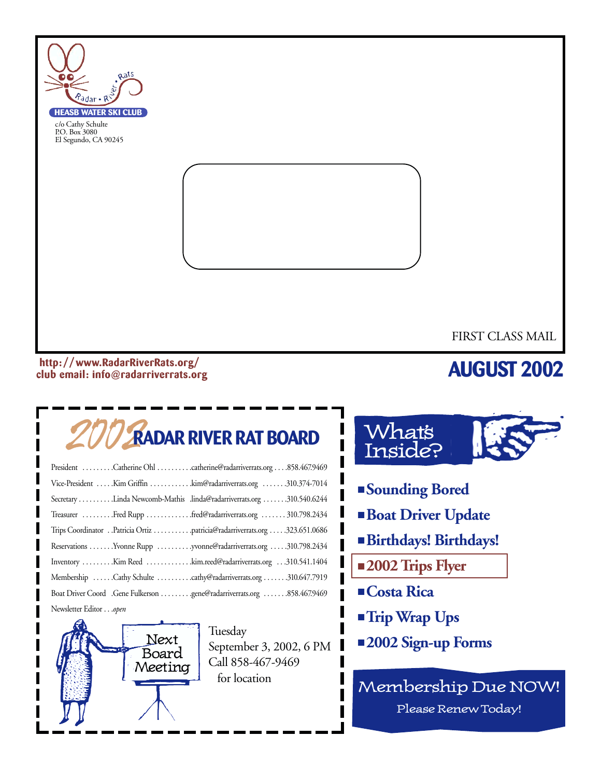

#### **http: //www.RadarRiverRats.org/ club email: info@radarriverrats.org**

## **AUGUST 2002**

# 2002**RADAR RIVER RAT BOARD**

| President Catherine Ohl catherine@radarriverrats.org858.467.9469          |
|---------------------------------------------------------------------------|
| Vice-President Kim Griffin kim@radarriverrats.org 310.374-7014            |
| Secretary Linda Newcomb-Mathis .linda@radarriverrats.org 310.540.6244     |
| Treasurer Fred Rupp fred@radarriverrats.org 310.798.2434                  |
| Trips Coordinator Patricia Ortiz patricia@radarriverrats.org 323.651.0686 |
| Reservations Yvonne Rupp yvonne@radarriverrats.org 310.798.2434           |
| Inventory Kim Reed kim.reed@radarriverrats.org 310.541.1404               |
| Membership Cathy Schulte cathy@radarriverrats.org 310.647.7919            |
|                                                                           |
| $\mathbf{M} = \mathbf{1}$ . $\mathbf{P} = \mathbf{1}$ .                   |

Newsletter Editor . . .*open*



Tuesday September 3, 2002, 6 PM Call 858-467-9469 for location



- **Sounding Bored**
- **Boat Driver Update**
- **Birthdays! Birthdays!**
- **2002 Trips Flyer**
- **Costa Rica**
- **Trip Wrap Ups**
- **2002 Sign-up Forms**

Membership Due NOW! Please Renew Today!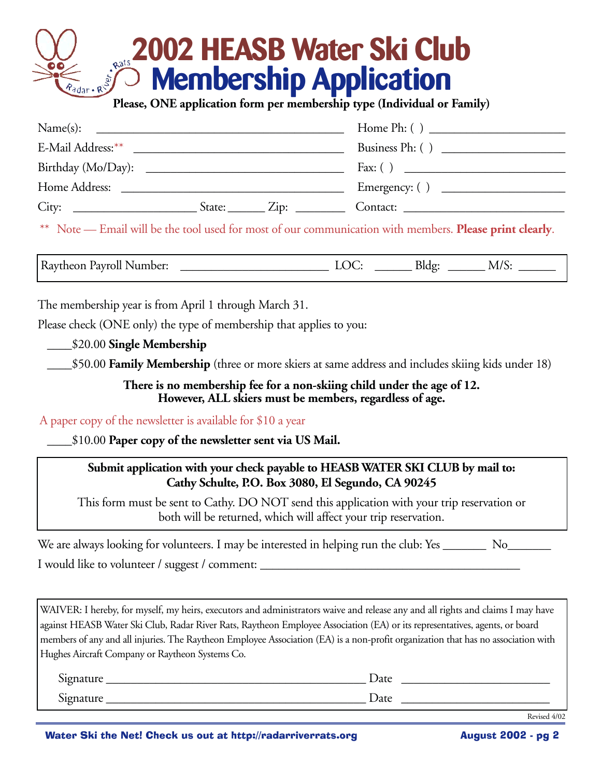# **2002 HEASB Water Ski Club Membership Application Please, ONE application form per membership type (Individual or Family)**

| Name(s):      |                 |                    |
|---------------|-----------------|--------------------|
|               |                 | Business Ph: $( )$ |
|               |                 |                    |
| Home Address: |                 |                    |
| City:         | $State:$ $Zip:$ | Contact:           |

\*\* Note — Email will be the tool used for most of our communication with members. **Please print clearly**.

Raytheon Payroll Number: \_\_\_\_\_\_\_\_\_\_\_\_\_\_\_\_\_\_\_\_\_\_\_\_ LOC: \_\_\_\_\_\_ Bldg: \_\_\_\_\_\_ M/S: \_\_\_\_\_\_

The membership year is from April 1 through March 31.

Please check (ONE only) the type of membership that applies to you:

\_\_\_\_\$20.00 **Single Membership**

\_\_\_\_\$50.00 **Family Membership** (three or more skiers at same address and includes skiing kids under 18)

**There is no membership fee for a non-skiing child under the age of 12. However, ALL skiers must be members, regardless of age.**

A paper copy of the newsletter is available for \$10 a year

\_\_\_\_\$10.00 **Paper copy of the newsletter sent via US Mail.**

#### **Submit application with your check payable to HEASB WATER SKI CLUB by mail to: Cathy Schulte, P.O. Box 3080, El Segundo, CA 90245**

This form must be sent to Cathy. DO NOT send this application with your trip reservation or both will be returned, which will affect your trip reservation.

We are always looking for volunteers. I may be interested in helping run the club: Yes \_\_\_\_\_\_\_\_\_ No\_\_\_\_\_\_\_ I would like to volunteer / suggest / comment: \_\_\_\_\_\_\_\_\_\_\_\_\_\_\_\_\_\_\_\_\_\_\_\_\_\_\_\_\_\_\_\_\_

WAIVER: I hereby, for myself, my heirs, executors and administrators waive and release any and all rights and claims I may have against HEASB Water Ski Club, Radar River Rats, Raytheon Employee Association (EA) or its representatives, agents, or board members of any and all injuries. The Raytheon Employee Association (EA) is a non-profit organization that has no association with Hughes Aircraft Company or Raytheon Systems Co.

| $\sim$<br>Signature | <b>Date</b> |
|---------------------|-------------|
| $\sim$<br>Signature | Date        |

Revised 4/02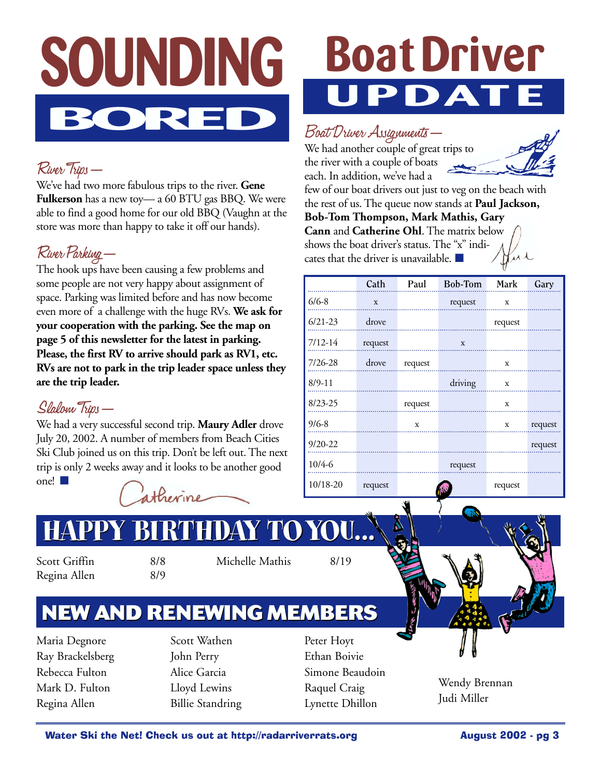# **SOUNDING BORED**

### River Trips—

We've had two more fabulous trips to the river. **Gene Fulkerson** has a new toy— a 60 BTU gas BBQ. We were able to find a good home for our old BBQ (Vaughn at the store was more than happy to take it off our hands).

### River Parking—

The hook ups have been causing a few problems and some people are not very happy about assignment of space. Parking was limited before and has now become even more of a challenge with the huge RVs. **We ask for your cooperation with the parking. See the map on page 5 of this newsletter for the latest in parking. Please, the first RV to arrive should park as RV1, etc. RVs are not to park in the trip leader space unless they are the trip leader.**

### Slalom Trips—

We had a very successful second trip. **Maury Adler** drove July 20, 2002. A number of members from Beach Cities Ski Club joined us on this trip. Don't be left out. The next trip is only 2 weeks away and it looks to be another good one! ■



# **Boat Driver UPDATE**

### Boat Driver Assignments—

We had another couple of great trips to the river with a couple of boats each. In addition, we've had a

cates that the driver is unavailable. ■



few of our boat drivers out just to veg on the beach with the rest of us. The queue now stands at **Paul Jackson, Bob-Tom Thompson, Mark Mathis, Gary Cann** and **Catherine Ohl**. The matrix below shows the boat driver's status. The "x" indi-

|             | Cath    | Paul    | Bob-Tom | Mark        | Gary    |
|-------------|---------|---------|---------|-------------|---------|
|             |         |         |         |             |         |
| $6/6 - 8$   | X       |         | request | $\mathbf X$ |         |
| $6/21-23$   | drove   |         |         | request     |         |
| $7/12 - 14$ | request |         | X       |             |         |
| 7/26-28     | drove   | request |         | x           |         |
| $8/9 - 11$  |         |         | driving | $\mathbf x$ |         |
| $8/23 - 25$ |         | request |         | x           |         |
| $9/6 - 8$   |         | X       |         | x           | request |
| $9/20 - 22$ |         |         |         |             | request |
| 10/4-6      |         |         | request |             |         |
| 10/18-20    | request |         |         | request     |         |

# **HOU...**

Scott Griffin 8/8 Regina Allen 8/9

Michelle Mathis 8/19

## **NEW AND RENEWING MEMBERS NEW AND RENEWING MEMBERS**

Maria Degnore Ray Brackelsberg Rebecca Fulton Mark D. Fulton Regina Allen

Scott Wathen John Perry Alice Garcia Lloyd Lewins Billie Standring

Peter Hoyt Ethan Boivie Simone Beaudoin Raquel Craig Lynette Dhillon



Wendy Brennan Judi Miller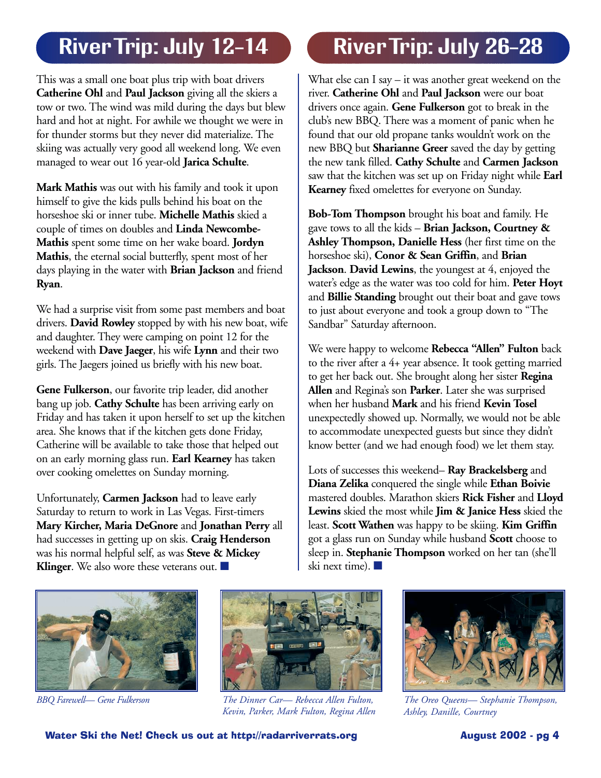This was a small one boat plus trip with boat drivers **Catherine Ohl** and **Paul Jackson** giving all the skiers a tow or two. The wind was mild during the days but blew hard and hot at night. For awhile we thought we were in for thunder storms but they never did materialize. The skiing was actually very good all weekend long. We even managed to wear out 16 year-old **Jarica Schulte**.

**Mark Mathis** was out with his family and took it upon himself to give the kids pulls behind his boat on the horseshoe ski or inner tube. **Michelle Mathis** skied a couple of times on doubles and **Linda Newcombe-Mathis** spent some time on her wake board. **Jordyn Mathis**, the eternal social butterfly, spent most of her days playing in the water with **Brian Jackson** and friend **Ryan**.

We had a surprise visit from some past members and boat drivers. **David Rowley** stopped by with his new boat, wife and daughter. They were camping on point 12 for the weekend with **Dave Jaeger**, his wife **Lynn** and their two girls. The Jaegers joined us briefly with his new boat.

**Gene Fulkerson**, our favorite trip leader, did another bang up job. **Cathy Schulte** has been arriving early on Friday and has taken it upon herself to set up the kitchen area. She knows that if the kitchen gets done Friday, Catherine will be available to take those that helped out on an early morning glass run. **Earl Kearney** has taken over cooking omelettes on Sunday morning.

Unfortunately, **Carmen Jackson** had to leave early Saturday to return to work in Las Vegas. First-timers **Mary Kircher, Maria DeGnore** and **Jonathan Perry** all had successes in getting up on skis. **Craig Henderson** was his normal helpful self, as was **Steve & Mickey Klinger**. We also wore these veterans out. ■

# River Trip: July 12-14 | River Trip: July 26-28

What else can I say – it was another great weekend on the river. **Catherine Ohl** and **Paul Jackson** were our boat drivers once again. **Gene Fulkerson** got to break in the club's new BBQ. There was a moment of panic when he found that our old propane tanks wouldn't work on the new BBQ but **Sharianne Greer** saved the day by getting the new tank filled. **Cathy Schulte** and **Carmen Jackson** saw that the kitchen was set up on Friday night while **Earl Kearney** fixed omelettes for everyone on Sunday.

**Bob-Tom Thompson** brought his boat and family. He gave tows to all the kids – **Brian Jackson, Courtney & Ashley Thompson, Danielle Hess** (her first time on the horseshoe ski), **Conor & Sean Griffin**, and **Brian Jackson. David Lewins**, the youngest at 4, enjoyed the water's edge as the water was too cold for him. **Peter Hoyt** and **Billie Standing** brought out their boat and gave tows to just about everyone and took a group down to "The Sandbar" Saturday afternoon.

We were happy to welcome **Rebecca "Allen" Fulton** back to the river after a 4+ year absence. It took getting married to get her back out. She brought along her sister **Regina Allen** and Regina's son **Parker**. Later she was surprised when her husband **Mark** and his friend **Kevin Tosel** unexpectedly showed up. Normally, we would not be able to accommodate unexpected guests but since they didn't know better (and we had enough food) we let them stay.

Lots of successes this weekend– **Ray Brackelsberg** and **Diana Zelika** conquered the single while **Ethan Boivie** mastered doubles. Marathon skiers **Rick Fisher** and **Lloyd Lewins** skied the most while **Jim & Janice Hess** skied the least. **Scott Wathen** was happy to be skiing. **Kim Griffin** got a glass run on Sunday while husband **Scott** choose to sleep in. **Stephanie Thompson** worked on her tan (she'll ski next time). ■





*BBQ Farewell— Gene Fulkerson The Dinner Car— Rebecca Allen Fulton, Kevin, Parker, Mark Fulton, Regina Allen*



*The Oreo Queens— Stephanie Thompson, Ashley, Danille, Courtney*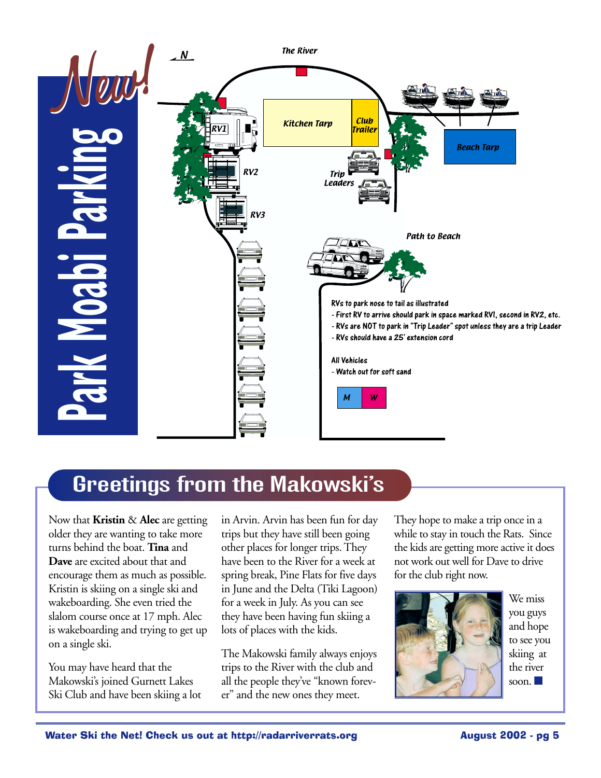

## Greetings from the Makowski's

Now that **Kristin** & **Alec** are getting older they are wanting to take more turns behind the boat. **Tina** and **Dave** are excited about that and encourage them as much as possible. Kristin is skiing on a single ski and wakeboarding. She even tried the slalom course once at 17 mph. Alec is wakeboarding and trying to get up on a single ski.

You may have heard that the Makowski's joined Gurnett Lakes Ski Club and have been skiing a lot in Arvin. Arvin has been fun for day trips but they have still been going other places for longer trips. They have been to the River for a week at spring break, Pine Flats for five days in June and the Delta (Tiki Lagoon) for a week in July. As you can see they have been having fun skiing a lots of places with the kids.

The Makowski family always enjoys trips to the River with the club and all the people they've "known forever" and the new ones they meet.

They hope to make a trip once in a while to stay in touch the Rats. Since the kids are getting more active it does not work out well for Dave to drive for the club right now.



We miss you guys and hope to see you skiing at the river soon.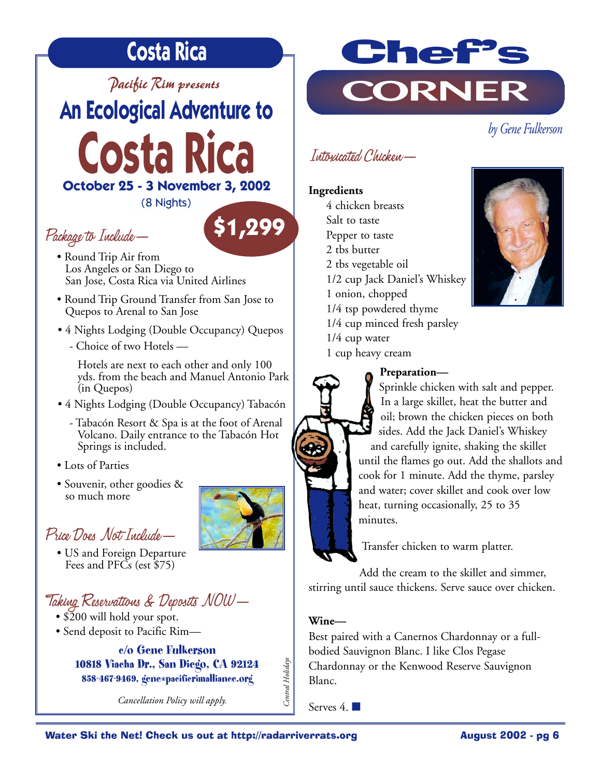# **Costa Rica**

*Pacific Rim presents*

*by Gene Fulkerson* **An Ecological Adventure to** 

**Costa Rica October 25 - 3 November 3, 2002**

(8 Nights)

### Package to Include—

- Round Trip Air from Los Angeles or San Diego to San Jose, Costa Rica via United Airlines
- Round Trip Ground Transfer from San Jose to Quepos to Arenal to San Jose
- 4 Nights Lodging (Double Occupancy) Quepos
	- Choice of two Hotels —

Hotels are next to each other and only 100 yds. from the beach and Manuel Antonio Park (in Quepos)

- 4 Nights Lodging (Double Occupancy) Tabacón
	- Tabacón Resort & Spa is at the foot of Arenal Volcano. Daily entrance to the Tabacón Hot Springs is included.
- Lots of Parties
- Souvenir, other goodies & so much more

### Price Does Not Include—

• US and Foreign Departure Fees and PFCs (est \$75)

### Taking Reservations & Deposits NOW—

- \$200 will hold your spot.
- Send deposit to Pacific Rim—

**c/o Gene Fulkerson 10818 Viacha Dr., San Diego, CA 92124 858-467-9469, gene@pacificrimalliance.org**

*Cancellation Policy will apply.* 



### Intoxicated Chicken—

#### **Ingredients**

4 chicken breasts Salt to taste Pepper to taste 2 tbs butter 2 tbs vegetable oil 1/2 cup Jack Daniel's Whiskey 1 onion, chopped 1/4 tsp powdered thyme 1/4 cup minced fresh parsley 1/4 cup water 1 cup heavy cream



#### **Preparation—**



Transfer chicken to warm platter.

Add the cream to the skillet and simmer, stirring until sauce thickens. Serve sauce over chicken.

#### **Wine—**

Best paired with a Canernos Chardonnay or a fullbodied Sauvignon Blanc. I like Clos Pegase Chardonnay or the Kenwood Reserve Sauvignon Blanc.

Serves 4. ■

Central Holidays *Central Holidays*



**\$1,299**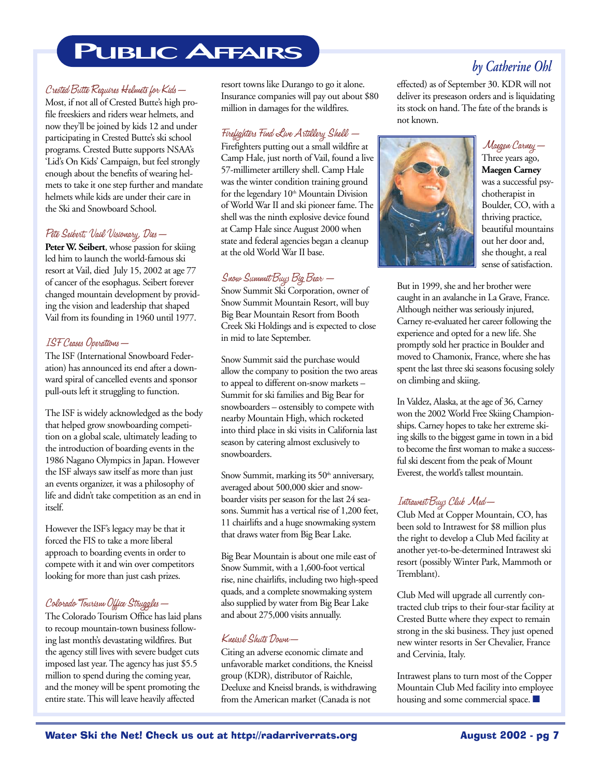# **PUBLIC AFFAIRS**

#### Crested Butte Requires Helmets for Kids—

Most, if not all of Crested Butte's high profile freeskiers and riders wear helmets, and now they'll be joined by kids 12 and under participating in Crested Butte's ski school programs. Crested Butte supports NSAA's 'Lid's On Kids' Campaign, but feel strongly enough about the benefits of wearing helmets to take it one step further and mandate helmets while kids are under their care in the Ski and Snowboard School.

#### Pete Seibert, Vail Visionary, Dies—

Peter W. Seibert, whose passion for skiing led him to launch the world-famous ski resort at Vail, died July 15, 2002 at age 77 of cancer of the esophagus. Seibert forever changed mountain development by providing the vision and leadership that shaped Vail from its founding in 1960 until 1977.

#### ISF Ceases Operations—

The ISF (International Snowboard Federation) has announced its end after a downward spiral of cancelled events and sponsor pull-outs left it struggling to function.

The ISF is widely acknowledged as the body that helped grow snowboarding competition on a global scale, ultimately leading to the introduction of boarding events in the 1986 Nagano Olympics in Japan. However the ISF always saw itself as more than just an events organizer, it was a philosophy of life and didn't take competition as an end in itself.

However the ISF's legacy may be that it forced the FIS to take a more liberal approach to boarding events in order to compete with it and win over competitors looking for more than just cash prizes.

#### Colorado Tourism Office Struggles—

The Colorado Tourism Office has laid plans to recoup mountain-town business following last month's devastating wildfires. But the agency still lives with severe budget cuts imposed last year. The agency has just \$5.5 million to spend during the coming year, and the money will be spent promoting the entire state. This will leave heavily affected

resort towns like Durango to go it alone. Insurance companies will pay out about \$80 million in damages for the wildfires.

#### Firefighters Find Live Artillery Shell —

Firefighters putting out a small wildfire at Camp Hale, just north of Vail, found a live 57-millimeter artillery shell. Camp Hale was the winter condition training ground for the legendary 10<sup>th</sup> Mountain Division of World War II and ski pioneer fame. The shell was the ninth explosive device found at Camp Hale since August 2000 when state and federal agencies began a cleanup at the old World War II base.

#### Snow Summit Buys Big Bear —

Snow Summit Ski Corporation, owner of Snow Summit Mountain Resort, will buy Big Bear Mountain Resort from Booth Creek Ski Holdings and is expected to close in mid to late September.

Snow Summit said the purchase would allow the company to position the two areas to appeal to different on-snow markets – Summit for ski families and Big Bear for snowboarders – ostensibly to compete with nearby Mountain High, which rocketed into third place in ski visits in California last season by catering almost exclusively to snowboarders.

Snow Summit, marking its 50<sup>th</sup> anniversary, averaged about 500,000 skier and snowboarder visits per season for the last 24 seasons. Summit has a vertical rise of 1,200 feet, 11 chairlifts and a huge snowmaking system that draws water from Big Bear Lake.

Big Bear Mountain is about one mile east of Snow Summit, with a 1,600-foot vertical rise, nine chairlifts, including two high-speed quads, and a complete snowmaking system also supplied by water from Big Bear Lake and about 275,000 visits annually.

#### Kneissl Shuts Down—

Citing an adverse economic climate and unfavorable market conditions, the Kneissl group (KDR), distributor of Raichle, Deeluxe and Kneissl brands, is withdrawing from the American market (Canada is not

effected) as of September 30. KDR will not deliver its preseason orders and is liquidating its stock on hand. The fate of the brands is not known.



### Maegen Carney—

Three years ago, **Maegen Carney** was a successful psychotherapist in Boulder, CO, with a thriving practice, beautiful mountains out her door and, she thought, a real sense of satisfaction.

But in 1999, she and her brother were caught in an avalanche in La Grave, France. Although neither was seriously injured, Carney re-evaluated her career following the experience and opted for a new life. She promptly sold her practice in Boulder and moved to Chamonix, France, where she has spent the last three ski seasons focusing solely on climbing and skiing.

In Valdez, Alaska, at the age of 36, Carney won the 2002 World Free Skiing Championships. Carney hopes to take her extreme skiing skills to the biggest game in town in a bid to become the first woman to make a successful ski descent from the peak of Mount Everest, the world's tallest mountain.

#### Intrawest Buys Club Med—

Club Med at Copper Mountain, CO, has been sold to Intrawest for \$8 million plus the right to develop a Club Med facility at another yet-to-be-determined Intrawest ski resort (possibly Winter Park, Mammoth or Tremblant).

Club Med will upgrade all currently contracted club trips to their four-star facility at Crested Butte where they expect to remain strong in the ski business. They just opened new winter resorts in Ser Chevalier, France and Cervinia, Italy.

Intrawest plans to turn most of the Copper Mountain Club Med facility into employee housing and some commercial space. ■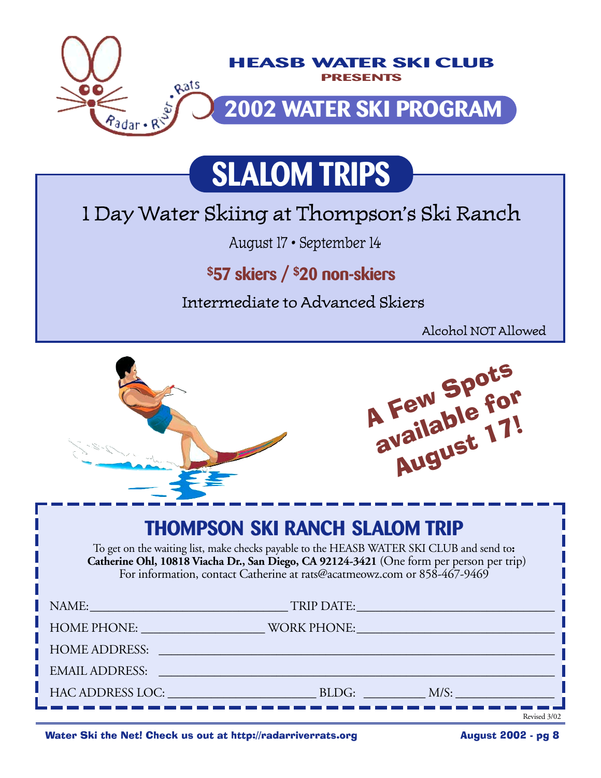

# **SLALOM TRIPS**

# 1 Day Water Skiing at Thompson's Ski Ranch

August 17 • September 14

## **\$57 skiers / \$20 non-skiers**

Intermediate to Advanced Skiers

Alcohol NOT Allowed



Water Ski the Net! Check us out at http://radarriverrats.org **August 2002** - pg 8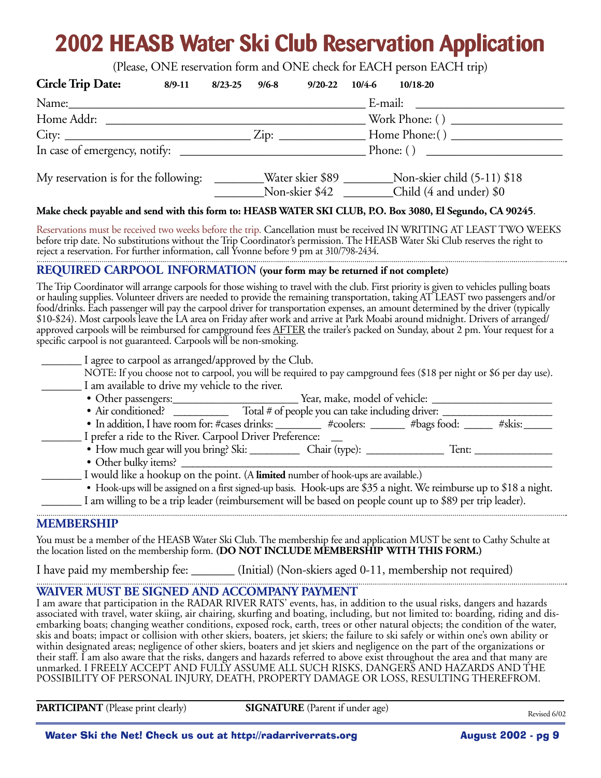# **2002 HEASB Water Ski Club Reservation Application**

(Please, ONE reservation form and ONE check for EACH person EACH trip)

| <b>Circle Trip Date:</b>                                                                                                                                                                                                                                                                                                                                                                                                                                                                                                                                                                                                                                                                                                                                                                                           | 8/9-11 8/23-25                                                                                   |  | $9/6 - 8$ | $9/20 - 22$                            |             | 10/4-6 10/18-20 |  |                                                                                                                      |  |
|--------------------------------------------------------------------------------------------------------------------------------------------------------------------------------------------------------------------------------------------------------------------------------------------------------------------------------------------------------------------------------------------------------------------------------------------------------------------------------------------------------------------------------------------------------------------------------------------------------------------------------------------------------------------------------------------------------------------------------------------------------------------------------------------------------------------|--------------------------------------------------------------------------------------------------|--|-----------|----------------------------------------|-------------|-----------------|--|----------------------------------------------------------------------------------------------------------------------|--|
| Name: Name and the state of the state of the state of the state of the state of the state of the state of the state of the state of the state of the state of the state of the state of the state of the state of the state of                                                                                                                                                                                                                                                                                                                                                                                                                                                                                                                                                                                     |                                                                                                  |  |           |                                        | E-mail:     |                 |  |                                                                                                                      |  |
|                                                                                                                                                                                                                                                                                                                                                                                                                                                                                                                                                                                                                                                                                                                                                                                                                    | $\frac{1}{2}$ Work Phone: ()<br>Home Addr:                                                       |  |           |                                        |             |                 |  |                                                                                                                      |  |
|                                                                                                                                                                                                                                                                                                                                                                                                                                                                                                                                                                                                                                                                                                                                                                                                                    |                                                                                                  |  |           |                                        |             |                 |  |                                                                                                                      |  |
|                                                                                                                                                                                                                                                                                                                                                                                                                                                                                                                                                                                                                                                                                                                                                                                                                    |                                                                                                  |  |           |                                        | Phone: $()$ |                 |  |                                                                                                                      |  |
|                                                                                                                                                                                                                                                                                                                                                                                                                                                                                                                                                                                                                                                                                                                                                                                                                    | My reservation is for the following: ________Water skier \$89 _______Non-skier child (5-11) \$18 |  |           | Non-skier \$42 Child (4 and under) \$0 |             |                 |  |                                                                                                                      |  |
| Make check payable and send with this form to: HEASB WATER SKI CLUB, P.O. Box 3080, El Segundo, CA 90245.                                                                                                                                                                                                                                                                                                                                                                                                                                                                                                                                                                                                                                                                                                          |                                                                                                  |  |           |                                        |             |                 |  |                                                                                                                      |  |
| Reservations must be received two weeks before the trip. Cancellation must be received IN WRITING AT LEAST TWO WEEKS<br>before trip date. No substitutions without the Trip Coordinator's permission. The HEASB Water Ski Club reserves the right to<br>reject a reservation. For further information, call Yvonne before 9 pm at 310/798-2434.                                                                                                                                                                                                                                                                                                                                                                                                                                                                    |                                                                                                  |  |           |                                        |             |                 |  |                                                                                                                      |  |
| REQUIRED CARPOOL INFORMATION (your form may be returned if not complete)                                                                                                                                                                                                                                                                                                                                                                                                                                                                                                                                                                                                                                                                                                                                           |                                                                                                  |  |           |                                        |             |                 |  |                                                                                                                      |  |
| The Trip Coordinator will arrange carpools for those wishing to travel with the club. First priority is given to vehicles pulling boats<br>or hauling supplies. Volunteer drivers are needed to provide the remaining transportation, taking AT LEAST two passengers and/or<br>food/drinks. Each passenger will pay the carpool driver for transportation expenses, an amount determined by the driver (typically<br>\$10-\$24). Most carpools leave the LA area on Friday after work and arrive at Park Moabi around midnight. Drivers of arranged/<br>approved carpools will be reimbursed for campground fees AFTER the trailer's packed on Sunday, about 2 pm. Your request for a<br>specific carpool is not guaranteed. Carpools will be non-smoking.<br>I agree to carpool as arranged/approved by the Club. |                                                                                                  |  |           |                                        |             |                 |  |                                                                                                                      |  |
| I am available to drive my vehicle to the river.                                                                                                                                                                                                                                                                                                                                                                                                                                                                                                                                                                                                                                                                                                                                                                   |                                                                                                  |  |           |                                        |             |                 |  | NOTE: If you choose not to carpool, you will be required to pay campground fees (\$18 per night or \$6 per day use). |  |
|                                                                                                                                                                                                                                                                                                                                                                                                                                                                                                                                                                                                                                                                                                                                                                                                                    |                                                                                                  |  |           |                                        |             |                 |  |                                                                                                                      |  |
|                                                                                                                                                                                                                                                                                                                                                                                                                                                                                                                                                                                                                                                                                                                                                                                                                    |                                                                                                  |  |           |                                        |             |                 |  |                                                                                                                      |  |
| I prefer a ride to the River. Carpool Driver Preference:                                                                                                                                                                                                                                                                                                                                                                                                                                                                                                                                                                                                                                                                                                                                                           |                                                                                                  |  |           |                                        |             |                 |  |                                                                                                                      |  |
|                                                                                                                                                                                                                                                                                                                                                                                                                                                                                                                                                                                                                                                                                                                                                                                                                    |                                                                                                  |  |           |                                        |             |                 |  |                                                                                                                      |  |
| I would like a hookup on the point. (A limited number of hook-ups are available.)<br>I am willing to be a trip leader (reimbursement will be based on people count up to \$89 per trip leader).                                                                                                                                                                                                                                                                                                                                                                                                                                                                                                                                                                                                                    |                                                                                                  |  |           |                                        |             |                 |  | • Hook-ups will be assigned on a first signed-up basis. Hook-ups are \$35 a night. We reimburse up to \$18 a night.  |  |
| <b>MEMBERSHIP</b>                                                                                                                                                                                                                                                                                                                                                                                                                                                                                                                                                                                                                                                                                                                                                                                                  |                                                                                                  |  |           |                                        |             |                 |  |                                                                                                                      |  |
| Vermeischer einer Leben (Leben III) ACD Weise Chi Chik The membership for and multiplier MI ICT because Casher Cabriles as                                                                                                                                                                                                                                                                                                                                                                                                                                                                                                                                                                                                                                                                                         |                                                                                                  |  |           |                                        |             |                 |  |                                                                                                                      |  |

You must be a member of the HEASB Water Ski Club. The membership fee and application MUST be sent to Cathy Schulte at the location listed on the membership form. **(DO NOT INCLUDE MEMBERSHIP WITH THIS FORM.)**

I have paid my membership fee: \_\_\_\_\_\_\_ (Initial) (Non-skiers aged 0-11, membership not required)

#### **WAIVER MUST BE SIGNED AND ACCOMPANY PAYMENT**

I am aware that participation in the RADAR RIVER RATS' events, has, in addition to the usual risks, dangers and hazards associated with travel, water skiing, air chairing, skurfing and boating, including, but not limited to: boarding, riding and disembarking boats; changing weather conditions, exposed rock, earth, trees or other natural objects; the condition of the water, skis and boats; impact or collision with other skiers, boaters, jet skiers; the failure to ski safely or within one's own ability or within designated areas; negligence of other skiers, boaters and jet skiers and negligence on the part of the organizations or their staff. I am also aware that the risks, dangers and hazards referred to above exist throughout the area and that many are unmarked. I FREELY ACCEPT AND FULLY ASSUME ALL SUCH RISKS, DANGERS AND HAZARDS AND THE POSSIBILITY OF PERSONAL INJURY, DEATH, PROPERTY DAMAGE OR LOSS, RESULTING THEREFROM.

**PARTICIPANT** (Please print clearly) **SIGNATURE** (Parent if under age)